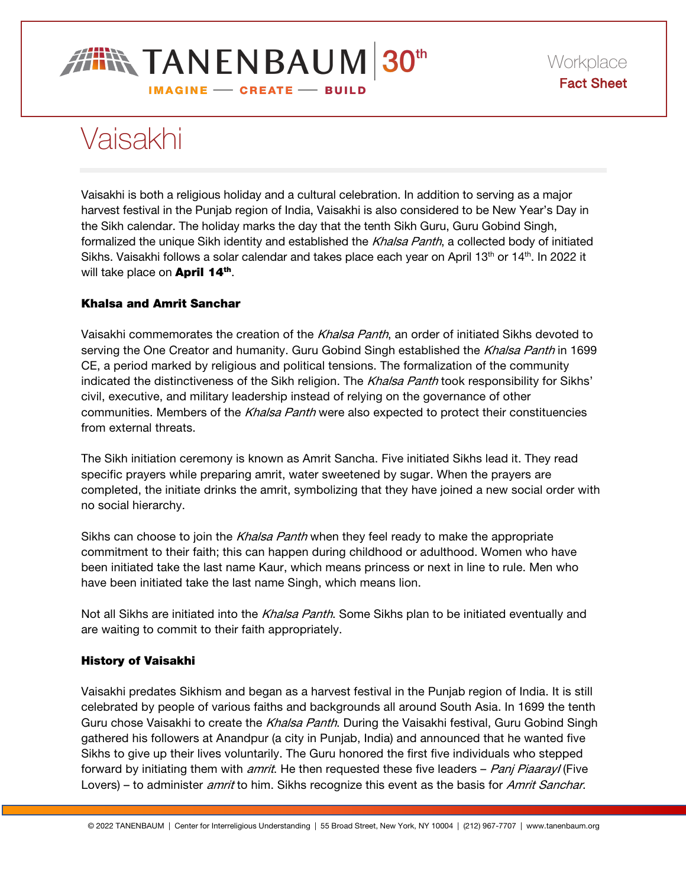

# Vaisakhi

Vaisakhi is both a religious holiday and a cultural celebration. In addition to serving as a major harvest festival in the Punjab region of India, Vaisakhi is also considered to be New Year's Day in the Sikh calendar. The holiday marks the day that the tenth Sikh Guru, Guru Gobind Singh, formalized the unique Sikh identity and established the Khalsa Panth, a collected body of initiated Sikhs. Vaisakhi follows a solar calendar and takes place each year on April 13<sup>th</sup> or 14<sup>th</sup>. In 2022 it will take place on **April 14th**.

## Khalsa and Amrit Sanchar

Vaisakhi commemorates the creation of the Khalsa Panth, an order of initiated Sikhs devoted to serving the One Creator and humanity. Guru Gobind Singh established the Khalsa Panth in 1699 CE, a period marked by religious and political tensions. The formalization of the community indicated the distinctiveness of the Sikh religion. The Khalsa Panth took responsibility for Sikhs' civil, executive, and military leadership instead of relying on the governance of other communities. Members of the Khalsa Panth were also expected to protect their constituencies from external threats.

The Sikh initiation ceremony is known as Amrit Sancha. Five initiated Sikhs lead it. They read specific prayers while preparing amrit, water sweetened by sugar. When the prayers are completed, the initiate drinks the amrit, symbolizing that they have joined a new social order with no social hierarchy.

Sikhs can choose to join the *Khalsa Panth* when they feel ready to make the appropriate commitment to their faith; this can happen during childhood or adulthood. Women who have been initiated take the last name Kaur, which means princess or next in line to rule. Men who have been initiated take the last name Singh, which means lion.

Not all Sikhs are initiated into the *Khalsa Panth*. Some Sikhs plan to be initiated eventually and are waiting to commit to their faith appropriately.

## History of Vaisakhi

Vaisakhi predates Sikhism and began as a harvest festival in the Punjab region of India. It is still celebrated by people of various faiths and backgrounds all around South Asia. In 1699 the tenth Guru chose Vaisakhi to create the Khalsa Panth. During the Vaisakhi festival, Guru Gobind Singh gathered his followers at Anandpur (a city in Punjab, India) and announced that he wanted five Sikhs to give up their lives voluntarily. The Guru honored the first five individuals who stepped forward by initiating them with *amrit*. He then requested these five leaders – *Panj PiaarayI* (Five Lovers) – to administer *amrit* to him. Sikhs recognize this event as the basis for Amrit Sanchar.